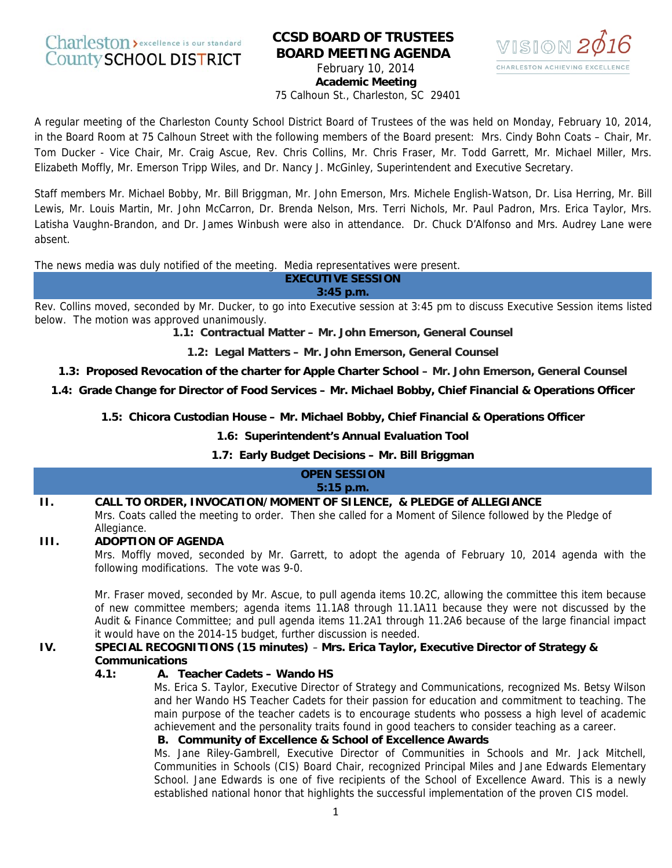# Charleston > excellence is our standard **County SCHOOL DISTRICT**

# **CCSD BOARD OF TRUSTEES BOARD MEETING AGENDA**  February 10, 2014



**Academic Meeting**  75 Calhoun St., Charleston, SC 29401

A regular meeting of the Charleston County School District Board of Trustees of the was held on Monday, February 10, 2014, in the Board Room at 75 Calhoun Street with the following members of the Board present: Mrs. Cindy Bohn Coats – Chair, Mr. Tom Ducker - Vice Chair, Mr. Craig Ascue, Rev. Chris Collins, Mr. Chris Fraser, Mr. Todd Garrett, Mr. Michael Miller, Mrs. Elizabeth Moffly, Mr. Emerson Tripp Wiles, and Dr. Nancy J. McGinley, Superintendent and Executive Secretary.

Staff members Mr. Michael Bobby, Mr. Bill Briggman, Mr. John Emerson, Mrs. Michele English-Watson, Dr. Lisa Herring, Mr. Bill Lewis, Mr. Louis Martin, Mr. John McCarron, Dr. Brenda Nelson, Mrs. Terri Nichols, Mr. Paul Padron, Mrs. Erica Taylor, Mrs. Latisha Vaughn-Brandon, and Dr. James Winbush were also in attendance. Dr. Chuck D'Alfonso and Mrs. Audrey Lane were absent.

The news media was duly notified of the meeting. Media representatives were present.

#### **EXECUTIVE SESSION 3:45 p.m.**

Rev. Collins moved, seconded by Mr. Ducker, to go into Executive session at 3:45 pm to discuss Executive Session items listed below. The motion was approved unanimously.

**1.1: Contractual Matter – Mr. John Emerson, General Counsel**

**1.2: Legal Matters – Mr. John Emerson, General Counsel**

**1.3: Proposed Revocation of the charter for Apple Charter School – Mr. John Emerson, General Counsel**

**1.4: Grade Change for Director of Food Services – Mr. Michael Bobby, Chief Financial & Operations Officer**

**1.5: Chicora Custodian House – Mr. Michael Bobby, Chief Financial & Operations Officer**

# **1.6: Superintendent's Annual Evaluation Tool**

# **1.7: Early Budget Decisions – Mr. Bill Briggman**

### **OPEN SESSION 5:15 p.m.**

# **II. CALL TO ORDER, INVOCATION/MOMENT OF SILENCE, & PLEDGE of ALLEGIANCE**

Mrs. Coats called the meeting to order. Then she called for a Moment of Silence followed by the Pledge of Allegiance.

# **III. ADOPTION OF AGENDA**

Mrs. Moffly moved, seconded by Mr. Garrett, to adopt the agenda of February 10, 2014 agenda with the following modifications. The vote was 9-0.

Mr. Fraser moved, seconded by Mr. Ascue, to pull agenda items 10.2C, allowing the committee this item because of new committee members; agenda items 11.1A8 through 11.1A11 because they were not discussed by the Audit & Finance Committee; and pull agenda items 11.2A1 through 11.2A6 because of the large financial impact it would have on the 2014-15 budget, further discussion is needed.

# **IV. SPECIAL RECOGNITIONS (15 minutes)** – **Mrs. Erica Taylor, Executive Director of Strategy & Communications**

# **4.1: A. Teacher Cadets – Wando HS**

Ms. Erica S. Taylor, Executive Director of Strategy and Communications, recognized Ms. Betsy Wilson and her Wando HS Teacher Cadets for their passion for education and commitment to teaching. The main purpose of the teacher cadets is to encourage students who possess a high level of academic achievement and the personality traits found in good teachers to consider teaching as a career.

# **B. Community of Excellence & School of Excellence Awards**

Ms. Jane Riley-Gambrell, Executive Director of Communities in Schools and Mr. Jack Mitchell, Communities in Schools (CIS) Board Chair, recognized Principal Miles and Jane Edwards Elementary School. Jane Edwards is one of five recipients of the School of Excellence Award. This is a newly established national honor that highlights the successful implementation of the proven CIS model.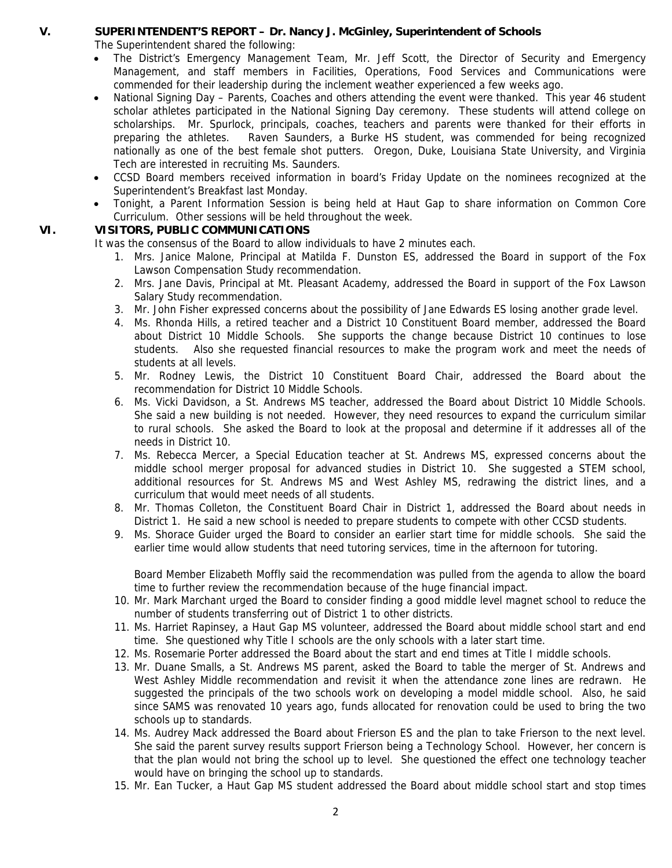# **V. SUPERINTENDENT'S REPORT – Dr. Nancy J. McGinley, Superintendent of Schools**

The Superintendent shared the following:

- The District's Emergency Management Team, Mr. Jeff Scott, the Director of Security and Emergency Management, and staff members in Facilities, Operations, Food Services and Communications were commended for their leadership during the inclement weather experienced a few weeks ago.
- National Signing Day Parents, Coaches and others attending the event were thanked. This year 46 student scholar athletes participated in the National Signing Day ceremony. These students will attend college on scholarships. Mr. Spurlock, principals, coaches, teachers and parents were thanked for their efforts in preparing the athletes. Raven Saunders, a Burke HS student, was commended for being recognized nationally as one of the best female shot putters. Oregon, Duke, Louisiana State University, and Virginia Tech are interested in recruiting Ms. Saunders.
- CCSD Board members received information in board's Friday Update on the nominees recognized at the Superintendent's Breakfast last Monday.
- Tonight, a Parent Information Session is being held at Haut Gap to share information on Common Core Curriculum. Other sessions will be held throughout the week.

# **VI. VISITORS, PUBLIC COMMUNICATIONS**

It was the consensus of the Board to allow individuals to have 2 minutes each.

- 1. Mrs. Janice Malone, Principal at Matilda F. Dunston ES, addressed the Board in support of the Fox Lawson Compensation Study recommendation.
- 2. Mrs. Jane Davis, Principal at Mt. Pleasant Academy, addressed the Board in support of the Fox Lawson Salary Study recommendation.
- 3. Mr. John Fisher expressed concerns about the possibility of Jane Edwards ES losing another grade level.
- 4. Ms. Rhonda Hills, a retired teacher and a District 10 Constituent Board member, addressed the Board about District 10 Middle Schools. She supports the change because District 10 continues to lose students. Also she requested financial resources to make the program work and meet the needs of students at all levels.
- 5. Mr. Rodney Lewis, the District 10 Constituent Board Chair, addressed the Board about the recommendation for District 10 Middle Schools.
- 6. Ms. Vicki Davidson, a St. Andrews MS teacher, addressed the Board about District 10 Middle Schools. She said a new building is not needed. However, they need resources to expand the curriculum similar to rural schools. She asked the Board to look at the proposal and determine if it addresses all of the needs in District 10.
- 7. Ms. Rebecca Mercer, a Special Education teacher at St. Andrews MS, expressed concerns about the middle school merger proposal for advanced studies in District 10. She suggested a STEM school, additional resources for St. Andrews MS and West Ashley MS, redrawing the district lines, and a curriculum that would meet needs of all students.
- 8. Mr. Thomas Colleton, the Constituent Board Chair in District 1, addressed the Board about needs in District 1. He said a new school is needed to prepare students to compete with other CCSD students.
- 9. Ms. Shorace Guider urged the Board to consider an earlier start time for middle schools. She said the earlier time would allow students that need tutoring services, time in the afternoon for tutoring.

Board Member Elizabeth Moffly said the recommendation was pulled from the agenda to allow the board time to further review the recommendation because of the huge financial impact.

- 10. Mr. Mark Marchant urged the Board to consider finding a good middle level magnet school to reduce the number of students transferring out of District 1 to other districts.
- 11. Ms. Harriet Rapinsey, a Haut Gap MS volunteer, addressed the Board about middle school start and end time. She questioned why Title I schools are the only schools with a later start time.
- 12. Ms. Rosemarie Porter addressed the Board about the start and end times at Title I middle schools.
- 13. Mr. Duane Smalls, a St. Andrews MS parent, asked the Board to table the merger of St. Andrews and West Ashley Middle recommendation and revisit it when the attendance zone lines are redrawn. He suggested the principals of the two schools work on developing a model middle school. Also, he said since SAMS was renovated 10 years ago, funds allocated for renovation could be used to bring the two schools up to standards.
- 14. Ms. Audrey Mack addressed the Board about Frierson ES and the plan to take Frierson to the next level. She said the parent survey results support Frierson being a Technology School. However, her concern is that the plan would not bring the school up to level. She questioned the effect one technology teacher would have on bringing the school up to standards.
- 15. Mr. Ean Tucker, a Haut Gap MS student addressed the Board about middle school start and stop times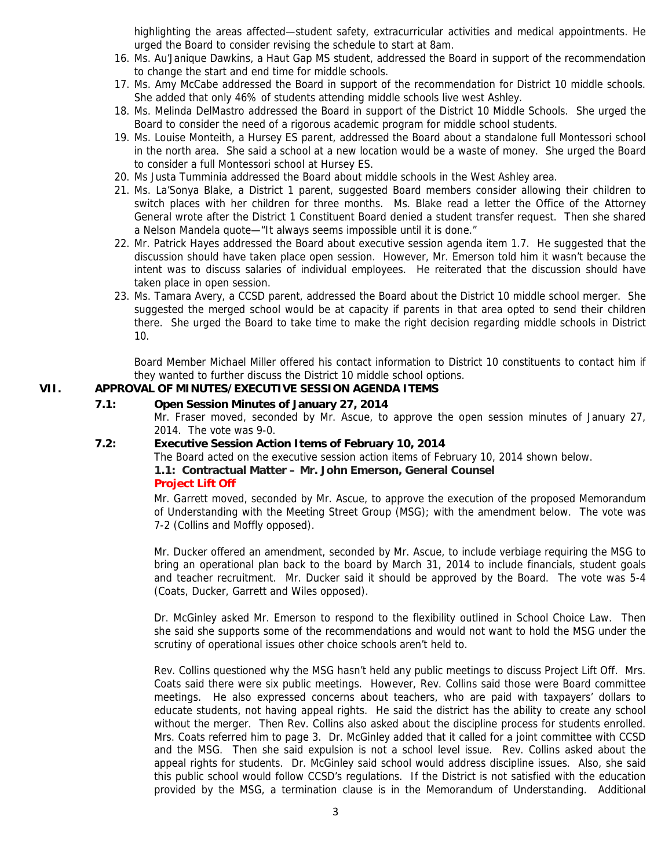highlighting the areas affected—student safety, extracurricular activities and medical appointments. He urged the Board to consider revising the schedule to start at 8am.

- 16. Ms. Au'Janique Dawkins, a Haut Gap MS student, addressed the Board in support of the recommendation to change the start and end time for middle schools.
- 17. Ms. Amy McCabe addressed the Board in support of the recommendation for District 10 middle schools. She added that only 46% of students attending middle schools live west Ashley.
- 18. Ms. Melinda DelMastro addressed the Board in support of the District 10 Middle Schools. She urged the Board to consider the need of a rigorous academic program for middle school students.
- 19. Ms. Louise Monteith, a Hursey ES parent, addressed the Board about a standalone full Montessori school in the north area. She said a school at a new location would be a waste of money. She urged the Board to consider a full Montessori school at Hursey ES.
- 20. Ms Justa Tumminia addressed the Board about middle schools in the West Ashley area.
- 21. Ms. La'Sonya Blake, a District 1 parent, suggested Board members consider allowing their children to switch places with her children for three months. Ms. Blake read a letter the Office of the Attorney General wrote after the District 1 Constituent Board denied a student transfer request. Then she shared a Nelson Mandela quote—"It always seems impossible until it is done."
- 22. Mr. Patrick Hayes addressed the Board about executive session agenda item 1.7. He suggested that the discussion should have taken place open session. However, Mr. Emerson told him it wasn't because the intent was to discuss salaries of individual employees. He reiterated that the discussion should have taken place in open session.
- 23. Ms. Tamara Avery, a CCSD parent, addressed the Board about the District 10 middle school merger. She suggested the merged school would be at capacity if parents in that area opted to send their children there. She urged the Board to take time to make the right decision regarding middle schools in District 10.

Board Member Michael Miller offered his contact information to District 10 constituents to contact him if they wanted to further discuss the District 10 middle school options.

# **VII. APPROVAL OF MINUTES/EXECUTIVE SESSION AGENDA ITEMS**

### **7.1: Open Session Minutes of January 27, 2014**

Mr. Fraser moved, seconded by Mr. Ascue, to approve the open session minutes of January 27, 2014. The vote was 9-0.

#### **7.2: Executive Session Action Items of February 10, 2014**

The Board acted on the executive session action items of February 10, 2014 shown below.

# **1.1: Contractual Matter – Mr. John Emerson, General Counsel Project Lift Off**

Mr. Garrett moved, seconded by Mr. Ascue, to approve the execution of the proposed Memorandum of Understanding with the Meeting Street Group (MSG); with the amendment below. The vote was 7-2 (Collins and Moffly opposed).

Mr. Ducker offered an amendment, seconded by Mr. Ascue, to include verbiage requiring the MSG to bring an operational plan back to the board by March 31, 2014 to include financials, student goals and teacher recruitment. Mr. Ducker said it should be approved by the Board. The vote was 5-4 (Coats, Ducker, Garrett and Wiles opposed).

Dr. McGinley asked Mr. Emerson to respond to the flexibility outlined in School Choice Law. Then she said she supports some of the recommendations and would not want to hold the MSG under the scrutiny of operational issues other choice schools aren't held to.

Rev. Collins questioned why the MSG hasn't held any public meetings to discuss Project Lift Off. Mrs. Coats said there were six public meetings. However, Rev. Collins said those were Board committee meetings. He also expressed concerns about teachers, who are paid with taxpayers' dollars to educate students, not having appeal rights. He said the district has the ability to create any school without the merger. Then Rev. Collins also asked about the discipline process for students enrolled. Mrs. Coats referred him to page 3. Dr. McGinley added that it called for a joint committee with CCSD and the MSG. Then she said expulsion is not a school level issue. Rev. Collins asked about the appeal rights for students. Dr. McGinley said school would address discipline issues. Also, she said this public school would follow CCSD's regulations. If the District is not satisfied with the education provided by the MSG, a termination clause is in the Memorandum of Understanding. Additional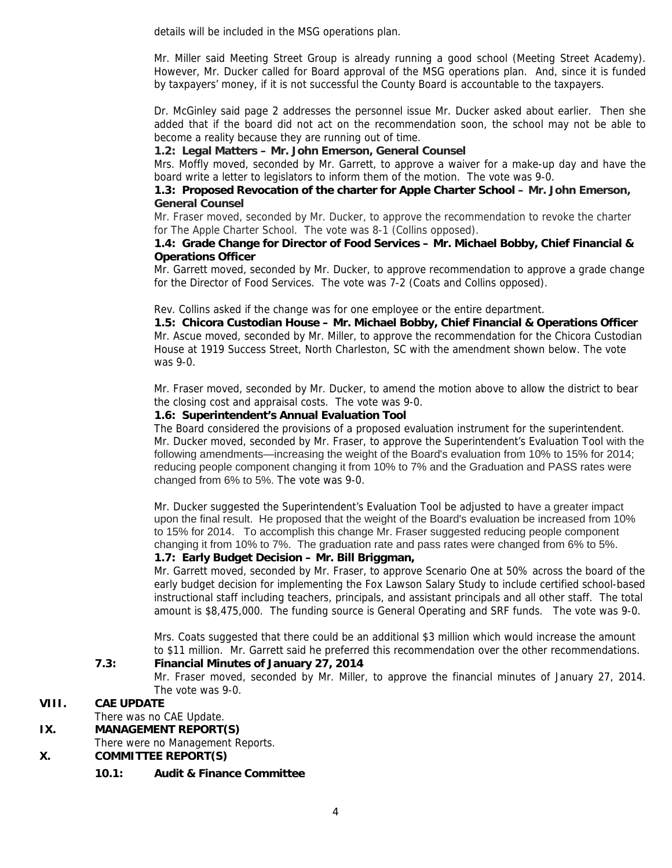details will be included in the MSG operations plan.

Mr. Miller said Meeting Street Group is already running a good school (Meeting Street Academy). However, Mr. Ducker called for Board approval of the MSG operations plan. And, since it is funded by taxpayers' money, if it is not successful the County Board is accountable to the taxpayers.

Dr. McGinley said page 2 addresses the personnel issue Mr. Ducker asked about earlier. Then she added that if the board did not act on the recommendation soon, the school may not be able to become a reality because they are running out of time.

# **1.2: Legal Matters – Mr. John Emerson, General Counsel**

Mrs. Moffly moved, seconded by Mr. Garrett, to approve a waiver for a make-up day and have the board write a letter to legislators to inform them of the motion. The vote was 9-0.

### **1.3: Proposed Revocation of the charter for Apple Charter School – Mr. John Emerson, General Counsel**

Mr. Fraser moved, seconded by Mr. Ducker, to approve the recommendation to revoke the charter for The Apple Charter School. The vote was 8-1 (Collins opposed).

### **1.4: Grade Change for Director of Food Services – Mr. Michael Bobby, Chief Financial & Operations Officer**

Mr. Garrett moved, seconded by Mr. Ducker, to approve recommendation to approve a grade change for the Director of Food Services. The vote was 7-2 (Coats and Collins opposed).

Rev. Collins asked if the change was for one employee or the entire department.

 **1.5: Chicora Custodian House – Mr. Michael Bobby, Chief Financial & Operations Officer**  Mr. Ascue moved, seconded by Mr. Miller, to approve the recommendation for the Chicora Custodian House at 1919 Success Street, North Charleston, SC with the amendment shown below. The vote was 9-0.

Mr. Fraser moved, seconded by Mr. Ducker, to amend the motion above to allow the district to bear the closing cost and appraisal costs. The vote was 9-0.

### **1.6: Superintendent's Annual Evaluation Tool**

The Board considered the provisions of a proposed evaluation instrument for the superintendent. Mr. Ducker moved, seconded by Mr. Fraser, to approve the Superintendent's Evaluation Tool with the following amendments—increasing the weight of the Board's evaluation from 10% to 15% for 2014; reducing people component changing it from 10% to 7% and the Graduation and PASS rates were changed from 6% to 5%. The vote was 9-0.

Mr. Ducker suggested the Superintendent's Evaluation Tool be adjusted to have a greater impact upon the final result. He proposed that the weight of the Board's evaluation be increased from 10% to 15% for 2014. To accomplish this change Mr. Fraser suggested reducing people component changing it from 10% to 7%. The graduation rate and pass rates were changed from 6% to 5%.

### **1.7: Early Budget Decision – Mr. Bill Briggman,**

Mr. Garrett moved, seconded by Mr. Fraser, to approve Scenario One at 50% across the board of the early budget decision for implementing the Fox Lawson Salary Study to include certified school-based instructional staff including teachers, principals, and assistant principals and all other staff. The total amount is \$8,475,000. The funding source is General Operating and SRF funds. The vote was 9-0.

Mrs. Coats suggested that there could be an additional \$3 million which would increase the amount to \$11 million. Mr. Garrett said he preferred this recommendation over the other recommendations.

# **7.3: Financial Minutes of January 27, 2014**

Mr. Fraser moved, seconded by Mr. Miller, to approve the financial minutes of January 27, 2014. The vote was 9-0.

# **VIII. CAE UPDATE**

There was no CAE Update.

# **IX. MANAGEMENT REPORT(S)**

There were no Management Reports.

### **X. COMMITTEE REPORT(S)**

**10.1: Audit & Finance Committee**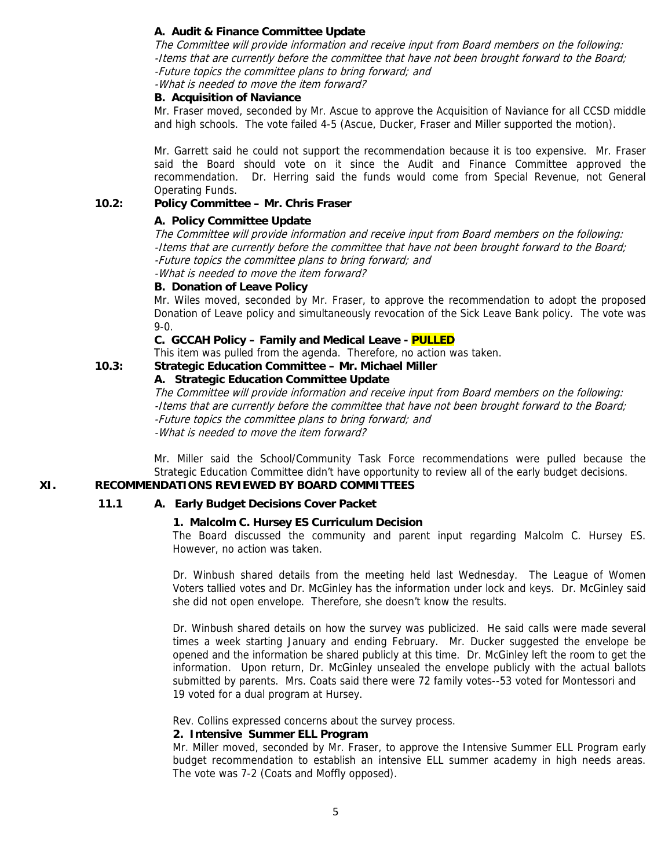### **A. Audit & Finance Committee Update**

The Committee will provide information and receive input from Board members on the following: -Items that are currently before the committee that have not been brought forward to the Board; -Future topics the committee plans to bring forward; and

-What is needed to move the item forward?

#### **B. Acquisition of Naviance**

Mr. Fraser moved, seconded by Mr. Ascue to approve the Acquisition of Naviance for all CCSD middle and high schools. The vote failed 4-5 (Ascue, Ducker, Fraser and Miller supported the motion).

Mr. Garrett said he could not support the recommendation because it is too expensive. Mr. Fraser said the Board should vote on it since the Audit and Finance Committee approved the recommendation. Dr. Herring said the funds would come from Special Revenue, not General Operating Funds.

### **10.2: Policy Committee – Mr. Chris Fraser**

# **A. Policy Committee Update**

The Committee will provide information and receive input from Board members on the following: -Items that are currently before the committee that have not been brought forward to the Board; -Future topics the committee plans to bring forward; and

-What is needed to move the item forward?

#### **B. Donation of Leave Policy**

Mr. Wiles moved, seconded by Mr. Fraser, to approve the recommendation to adopt the proposed Donation of Leave policy and simultaneously revocation of the Sick Leave Bank policy. The vote was 9-0.

#### **C. GCCAH Policy – Family and Medical Leave - PULLED**

This item was pulled from the agenda. Therefore, no action was taken.

### **10.3: Strategic Education Committee – Mr. Michael Miller**

### **A. Strategic Education Committee Update**

The Committee will provide information and receive input from Board members on the following: -Items that are currently before the committee that have not been brought forward to the Board; -Future topics the committee plans to bring forward; and -What is needed to move the item forward?

Mr. Miller said the School/Community Task Force recommendations were pulled because the Strategic Education Committee didn't have opportunity to review all of the early budget decisions.

# **XI. RECOMMENDATIONS REVIEWED BY BOARD COMMITTEES**

#### **11.1 A. Early Budget Decisions Cover Packet**

#### **1. Malcolm C. Hursey ES Curriculum Decision**

The Board discussed the community and parent input regarding Malcolm C. Hursey ES. However, no action was taken.

Dr. Winbush shared details from the meeting held last Wednesday. The League of Women Voters tallied votes and Dr. McGinley has the information under lock and keys. Dr. McGinley said she did not open envelope. Therefore, she doesn't know the results.

Dr. Winbush shared details on how the survey was publicized. He said calls were made several times a week starting January and ending February. Mr. Ducker suggested the envelope be opened and the information be shared publicly at this time. Dr. McGinley left the room to get the information. Upon return, Dr. McGinley unsealed the envelope publicly with the actual ballots submitted by parents. Mrs. Coats said there were 72 family votes--53 voted for Montessori and 19 voted for a dual program at Hursey.

Rev. Collins expressed concerns about the survey process.

#### **2. Intensive Summer ELL Program**

Mr. Miller moved, seconded by Mr. Fraser, to approve the Intensive Summer ELL Program early budget recommendation to establish an intensive ELL summer academy in high needs areas. The vote was 7-2 (Coats and Moffly opposed).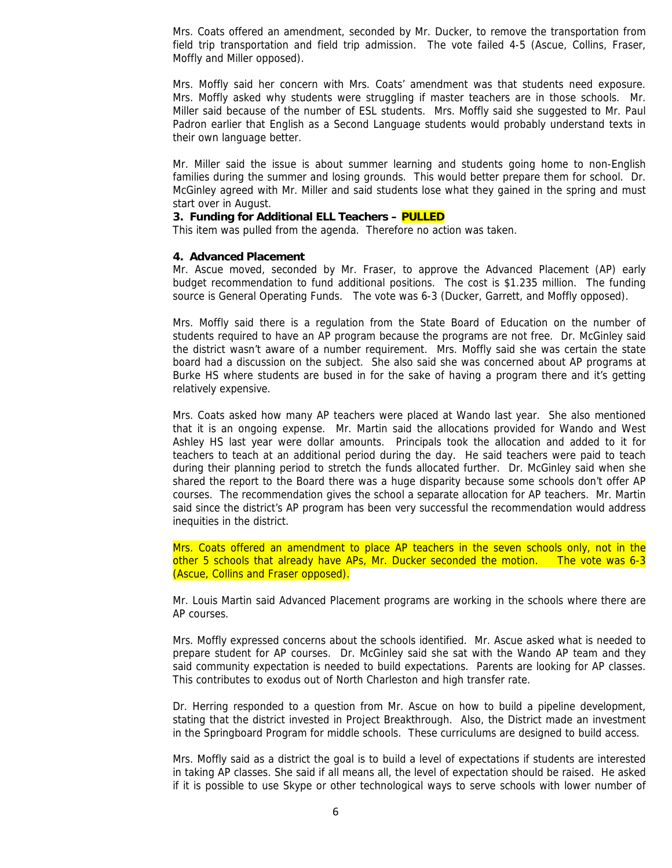Mrs. Coats offered an amendment, seconded by Mr. Ducker, to remove the transportation from field trip transportation and field trip admission. The vote failed 4-5 (Ascue, Collins, Fraser, Moffly and Miller opposed).

Mrs. Moffly said her concern with Mrs. Coats' amendment was that students need exposure. Mrs. Moffly asked why students were struggling if master teachers are in those schools. Mr. Miller said because of the number of ESL students. Mrs. Moffly said she suggested to Mr. Paul Padron earlier that English as a Second Language students would probably understand texts in their own language better.

Mr. Miller said the issue is about summer learning and students going home to non-English families during the summer and losing grounds. This would better prepare them for school. Dr. McGinley agreed with Mr. Miller and said students lose what they gained in the spring and must start over in August.

#### **3. Funding for Additional ELL Teachers – PULLED**

This item was pulled from the agenda. Therefore no action was taken.

#### **4. Advanced Placement**

Mr. Ascue moved, seconded by Mr. Fraser, to approve the Advanced Placement (AP) early budget recommendation to fund additional positions. The cost is \$1.235 million. The funding source is General Operating Funds. The vote was 6-3 (Ducker, Garrett, and Moffly opposed).

Mrs. Moffly said there is a regulation from the State Board of Education on the number of students required to have an AP program because the programs are not free. Dr. McGinley said the district wasn't aware of a number requirement. Mrs. Moffly said she was certain the state board had a discussion on the subject. She also said she was concerned about AP programs at Burke HS where students are bused in for the sake of having a program there and it's getting relatively expensive.

Mrs. Coats asked how many AP teachers were placed at Wando last year. She also mentioned that it is an ongoing expense. Mr. Martin said the allocations provided for Wando and West Ashley HS last year were dollar amounts. Principals took the allocation and added to it for teachers to teach at an additional period during the day. He said teachers were paid to teach during their planning period to stretch the funds allocated further. Dr. McGinley said when she shared the report to the Board there was a huge disparity because some schools don't offer AP courses. The recommendation gives the school a separate allocation for AP teachers. Mr. Martin said since the district's AP program has been very successful the recommendation would address inequities in the district.

Mrs. Coats offered an amendment to place AP teachers in the seven schools only, not in the other 5 schools that already have APs, Mr. Ducker seconded the motion. The vote was 6-3 (Ascue, Collins and Fraser opposed).

Mr. Louis Martin said Advanced Placement programs are working in the schools where there are AP courses.

Mrs. Moffly expressed concerns about the schools identified. Mr. Ascue asked what is needed to prepare student for AP courses. Dr. McGinley said she sat with the Wando AP team and they said community expectation is needed to build expectations. Parents are looking for AP classes. This contributes to exodus out of North Charleston and high transfer rate.

Dr. Herring responded to a question from Mr. Ascue on how to build a pipeline development, stating that the district invested in Project Breakthrough. Also, the District made an investment in the Springboard Program for middle schools. These curriculums are designed to build access.

Mrs. Moffly said as a district the goal is to build a level of expectations if students are interested in taking AP classes. She said if all means all, the level of expectation should be raised. He asked if it is possible to use Skype or other technological ways to serve schools with lower number of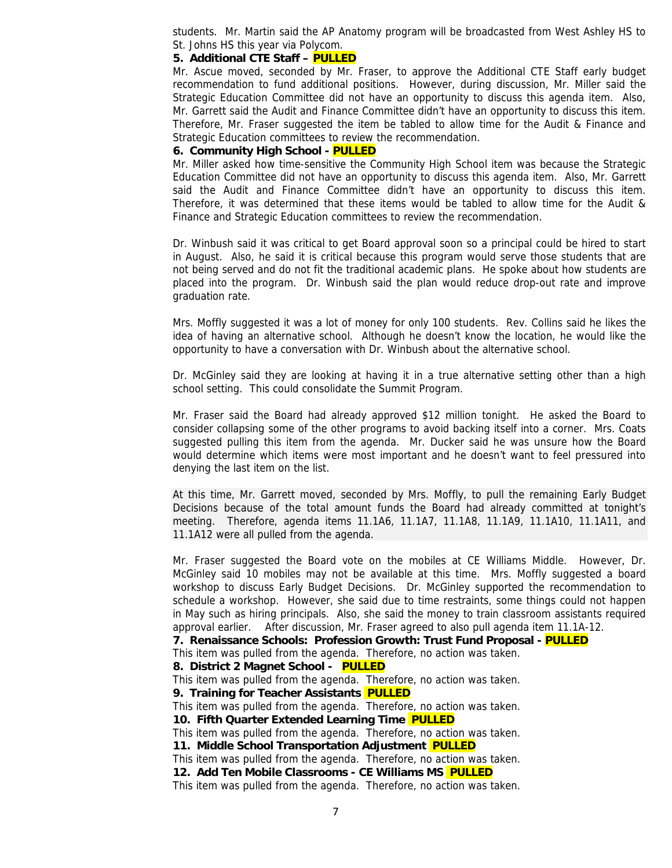students. Mr. Martin said the AP Anatomy program will be broadcasted from West Ashley HS to St. Johns HS this year via Polycom.

#### **5. Additional CTE Staff – PULLED**

Mr. Ascue moved, seconded by Mr. Fraser, to approve the Additional CTE Staff early budget recommendation to fund additional positions. However, during discussion, Mr. Miller said the Strategic Education Committee did not have an opportunity to discuss this agenda item. Also, Mr. Garrett said the Audit and Finance Committee didn't have an opportunity to discuss this item. Therefore, Mr. Fraser suggested the item be tabled to allow time for the Audit & Finance and Strategic Education committees to review the recommendation.

#### **6. Community High School - PULLED**

Mr. Miller asked how time-sensitive the Community High School item was because the Strategic Education Committee did not have an opportunity to discuss this agenda item. Also, Mr. Garrett said the Audit and Finance Committee didn't have an opportunity to discuss this item. Therefore, it was determined that these items would be tabled to allow time for the Audit & Finance and Strategic Education committees to review the recommendation.

Dr. Winbush said it was critical to get Board approval soon so a principal could be hired to start in August. Also, he said it is critical because this program would serve those students that are not being served and do not fit the traditional academic plans. He spoke about how students are placed into the program. Dr. Winbush said the plan would reduce drop-out rate and improve graduation rate.

Mrs. Moffly suggested it was a lot of money for only 100 students. Rev. Collins said he likes the idea of having an alternative school. Although he doesn't know the location, he would like the opportunity to have a conversation with Dr. Winbush about the alternative school.

Dr. McGinley said they are looking at having it in a true alternative setting other than a high school setting. This could consolidate the Summit Program.

Mr. Fraser said the Board had already approved \$12 million tonight. He asked the Board to consider collapsing some of the other programs to avoid backing itself into a corner. Mrs. Coats suggested pulling this item from the agenda. Mr. Ducker said he was unsure how the Board would determine which items were most important and he doesn't want to feel pressured into denying the last item on the list.

At this time, Mr. Garrett moved, seconded by Mrs. Moffly, to pull the remaining Early Budget Decisions because of the total amount funds the Board had already committed at tonight's meeting. Therefore, agenda items 11.1A6, 11.1A7, 11.1A8, 11.1A9, 11.1A10, 11.1A11, and 11.1A12 were all pulled from the agenda.

Mr. Fraser suggested the Board vote on the mobiles at CE Williams Middle. However, Dr. McGinley said 10 mobiles may not be available at this time. Mrs. Moffly suggested a board workshop to discuss Early Budget Decisions. Dr. McGinley supported the recommendation to schedule a workshop. However, she said due to time restraints, some things could not happen in May such as hiring principals. Also, she said the money to train classroom assistants required approval earlier. After discussion, Mr. Fraser agreed to also pull agenda item 11.1A-12.

**7. Renaissance Schools: Profession Growth: Trust Fund Proposal - PULLED** 

This item was pulled from the agenda. Therefore, no action was taken.

#### **8. District 2 Magnet School - PULLED**

This item was pulled from the agenda. Therefore, no action was taken.

**9. Training for Teacher Assistants PULLED** 

This item was pulled from the agenda. Therefore, no action was taken.

**10. Fifth Quarter Extended Learning Time PULLED**

This item was pulled from the agenda. Therefore, no action was taken.

**11. Middle School Transportation Adjustment PULLED** 

This item was pulled from the agenda. Therefore, no action was taken.

**12. Add Ten Mobile Classrooms - CE Williams MS PULLED** 

This item was pulled from the agenda. Therefore, no action was taken.